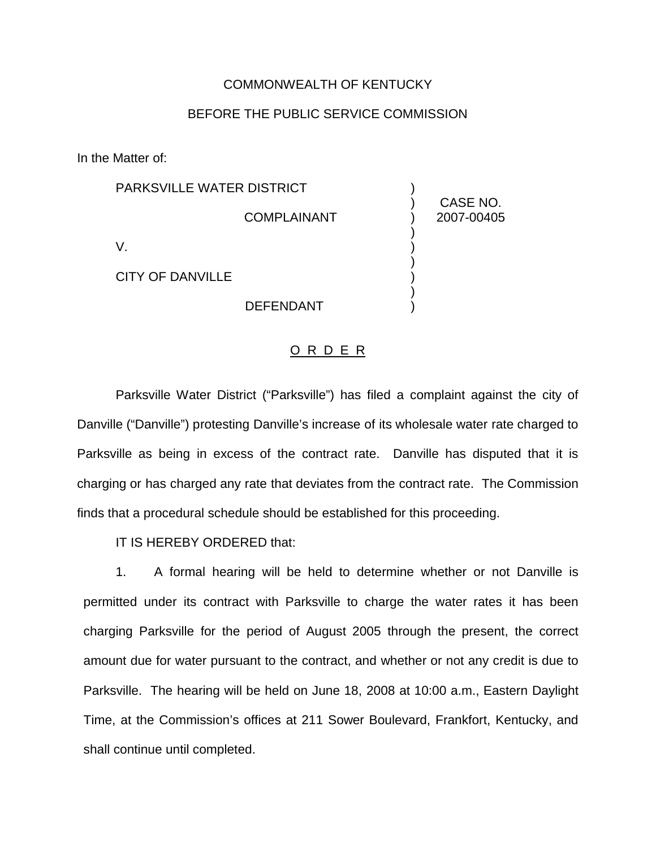## COMMONWEALTH OF KENTUCKY

## BEFORE THE PUBLIC SERVICE COMMISSION

In the Matter of:

| <b>PARKSVILLE WATER DISTRICT</b> |                        |
|----------------------------------|------------------------|
| <b>COMPLAINANT</b>               | CASE NO.<br>2007-00405 |
|                                  |                        |
| <b>CITY OF DANVILLE</b>          |                        |
| <b>DEFENDANT</b>                 |                        |

## O R D E R

Parksville Water District ("Parksville") has filed a complaint against the city of Danville ("Danville") protesting Danville's increase of its wholesale water rate charged to Parksville as being in excess of the contract rate. Danville has disputed that it is charging or has charged any rate that deviates from the contract rate. The Commission finds that a procedural schedule should be established for this proceeding.

IT IS HEREBY ORDERED that:

1. A formal hearing will be held to determine whether or not Danville is permitted under its contract with Parksville to charge the water rates it has been charging Parksville for the period of August 2005 through the present, the correct amount due for water pursuant to the contract, and whether or not any credit is due to Parksville. The hearing will be held on June 18, 2008 at 10:00 a.m., Eastern Daylight Time, at the Commission's offices at 211 Sower Boulevard, Frankfort, Kentucky, and shall continue until completed.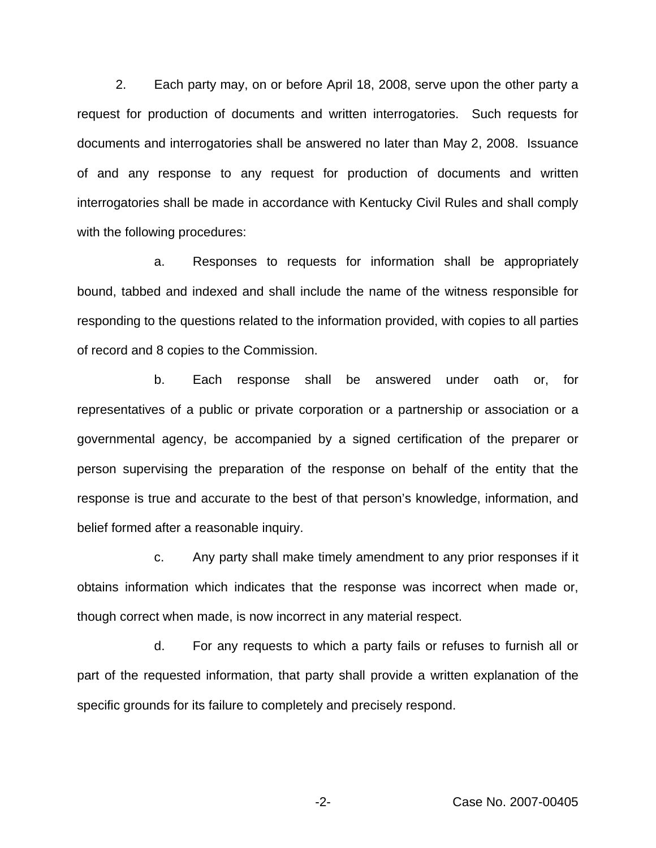2. Each party may, on or before April 18, 2008, serve upon the other party a request for production of documents and written interrogatories. Such requests for documents and interrogatories shall be answered no later than May 2, 2008. Issuance of and any response to any request for production of documents and written interrogatories shall be made in accordance with Kentucky Civil Rules and shall comply with the following procedures:

a. Responses to requests for information shall be appropriately bound, tabbed and indexed and shall include the name of the witness responsible for responding to the questions related to the information provided, with copies to all parties of record and 8 copies to the Commission.

b. Each response shall be answered under oath or, for representatives of a public or private corporation or a partnership or association or a governmental agency, be accompanied by a signed certification of the preparer or person supervising the preparation of the response on behalf of the entity that the response is true and accurate to the best of that person's knowledge, information, and belief formed after a reasonable inquiry.

c. Any party shall make timely amendment to any prior responses if it obtains information which indicates that the response was incorrect when made or, though correct when made, is now incorrect in any material respect.

d. For any requests to which a party fails or refuses to furnish all or part of the requested information, that party shall provide a written explanation of the specific grounds for its failure to completely and precisely respond.

-2- Case No. 2007-00405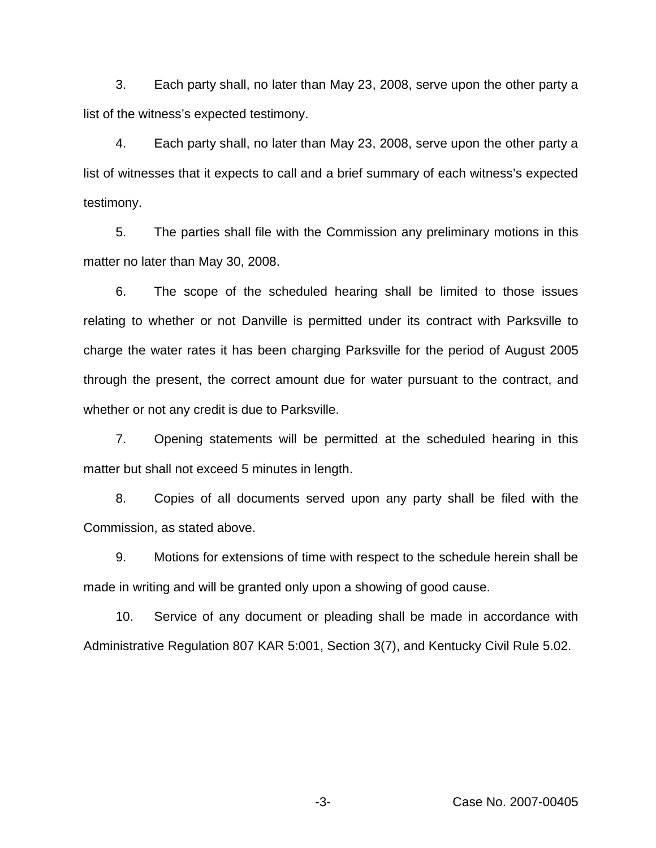3. Each party shall, no later than May 23, 2008, serve upon the other party a list of the witness's expected testimony.

4. Each party shall, no later than May 23, 2008, serve upon the other party a list of witnesses that it expects to call and a brief summary of each witness's expected testimony.

5. The parties shall file with the Commission any preliminary motions in this matter no later than May 30, 2008.

6. The scope of the scheduled hearing shall be limited to those issues relating to whether or not Danville is permitted under its contract with Parksville to charge the water rates it has been charging Parksville for the period of August 2005 through the present, the correct amount due for water pursuant to the contract, and whether or not any credit is due to Parksville.

7. Opening statements will be permitted at the scheduled hearing in this matter but shall not exceed 5 minutes in length.

8. Copies of all documents served upon any party shall be filed with the Commission, as stated above.

9. Motions for extensions of time with respect to the schedule herein shall be made in writing and will be granted only upon a showing of good cause.

10. Service of any document or pleading shall be made in accordance with Administrative Regulation 807 KAR 5:001, Section 3(7), and Kentucky Civil Rule 5.02.

-3- Case No. 2007-00405